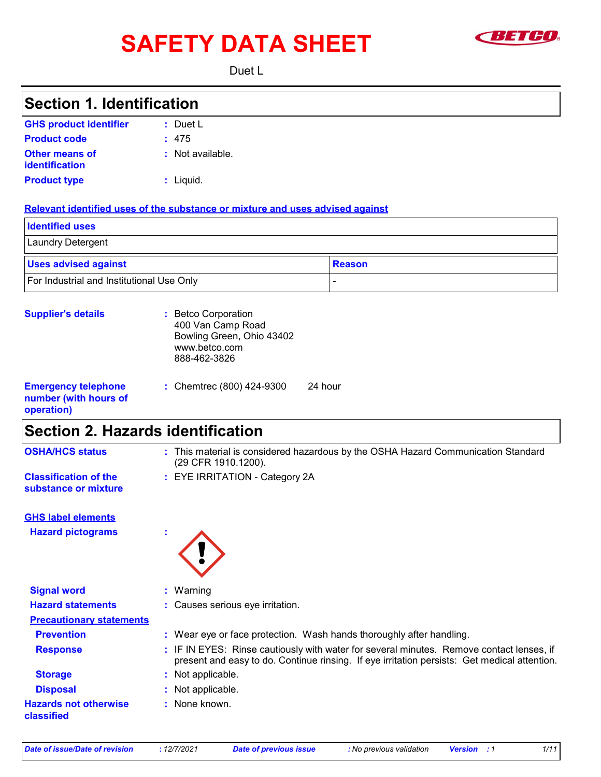# SAFETY DATA SHEET **SAFETY**



Duet L

| <b>Section 1. Identification</b>                                  |                                                                                                                                                                                                                                            |  |  |
|-------------------------------------------------------------------|--------------------------------------------------------------------------------------------------------------------------------------------------------------------------------------------------------------------------------------------|--|--|
| <b>GHS product identifier</b>                                     | $:$ Duet L                                                                                                                                                                                                                                 |  |  |
| <b>Product code</b>                                               | : 475                                                                                                                                                                                                                                      |  |  |
| <b>Other means of</b><br>identification                           | : Not available.                                                                                                                                                                                                                           |  |  |
| <b>Product type</b>                                               | $:$ Liquid.                                                                                                                                                                                                                                |  |  |
|                                                                   | Relevant identified uses of the substance or mixture and uses advised against                                                                                                                                                              |  |  |
| <b>Identified uses</b>                                            |                                                                                                                                                                                                                                            |  |  |
| Laundry Detergent                                                 |                                                                                                                                                                                                                                            |  |  |
| <b>Uses advised against</b>                                       | <b>Reason</b>                                                                                                                                                                                                                              |  |  |
| For Industrial and Institutional Use Only                         |                                                                                                                                                                                                                                            |  |  |
| <b>Supplier's details</b>                                         | : Betco Corporation<br>400 Van Camp Road<br>Bowling Green, Ohio 43402<br>www.betco.com<br>888-462-3826                                                                                                                                     |  |  |
| <b>Emergency telephone</b><br>number (with hours of<br>operation) | : Chemtrec (800) 424-9300<br>24 hour                                                                                                                                                                                                       |  |  |
| <b>Section 2. Hazards identification</b>                          |                                                                                                                                                                                                                                            |  |  |
| <b>OSHA/HCS status</b>                                            | : This material is considered hazardous by the OSHA Hazard Communication Standard<br>(29 CFR 1910.1200).                                                                                                                                   |  |  |
| <b>Classification of the</b><br>substance or mixture              | : EYE IRRITATION - Category 2A                                                                                                                                                                                                             |  |  |
| <b>GHS label elements</b>                                         |                                                                                                                                                                                                                                            |  |  |
| <b>Hazard pictograms</b>                                          | <b><i>Contract Contract Contract Contract Contract Contract Contract Contract Contract Contract Contract Contract Contract Contract Contract Contract Contract Contract Contract Contract Contract Contract Contract Contract Cont</i></b> |  |  |
| <b>Signal word</b>                                                | : Warning                                                                                                                                                                                                                                  |  |  |
| <b>Hazard statements</b>                                          | Causes serious eye irritation.                                                                                                                                                                                                             |  |  |
| <b>Precautionary statements</b>                                   |                                                                                                                                                                                                                                            |  |  |
| <b>Prevention</b>                                                 | : Wear eye or face protection. Wash hands thoroughly after handling.                                                                                                                                                                       |  |  |
| <b>Response</b>                                                   | : IF IN EYES: Rinse cautiously with water for several minutes. Remove contact lenses, if<br>present and easy to do. Continue rinsing. If eye irritation persists: Get medical attention.                                                   |  |  |
| <b>Storage</b>                                                    | Not applicable.                                                                                                                                                                                                                            |  |  |
| <b>Disposal</b>                                                   | Not applicable.                                                                                                                                                                                                                            |  |  |
| <b>Hazards not otherwise</b><br>classified                        | None known.                                                                                                                                                                                                                                |  |  |

*Date of issue/Date of revision* **:** *12/7/2021 Date of previous issue : No previous validation Version : 1 1/11*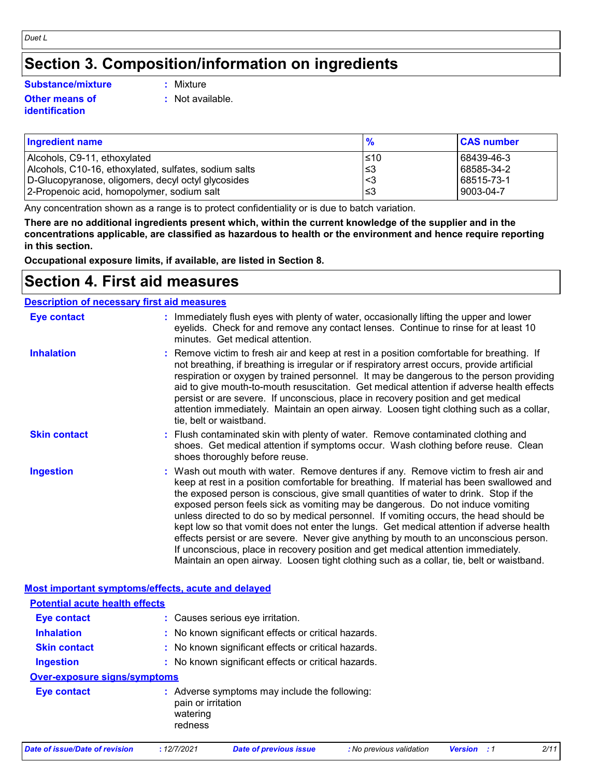# **Section 3. Composition/information on ingredients**

#### **Substance/mixture :**

#### **Other means of identification**

- : Mixture
- **:** Not available.

| <b>Ingredient name</b>                                | $\frac{9}{6}$ | <b>CAS number</b> |
|-------------------------------------------------------|---------------|-------------------|
| Alcohols, C9-11, ethoxylated                          | ≤10           | 68439-46-3        |
| Alcohols, C10-16, ethoxylated, sulfates, sodium salts | l≤3           | 68585-34-2        |
| D-Glucopyranose, oligomers, decyl octyl glycosides    | ′<3           | 68515-73-1        |
| 2-Propenoic acid, homopolymer, sodium salt            | '≤3           | 9003-04-7         |

Any concentration shown as a range is to protect confidentiality or is due to batch variation.

**There are no additional ingredients present which, within the current knowledge of the supplier and in the concentrations applicable, are classified as hazardous to health or the environment and hence require reporting in this section.**

**Occupational exposure limits, if available, are listed in Section 8.**

# **Section 4. First aid measures**

| <b>Description of necessary first aid measures</b> |                                                                                                                                                                                                                                                                                                                                                                                                                                                                                                                                                                                                                                                                                                                                                                                                                           |
|----------------------------------------------------|---------------------------------------------------------------------------------------------------------------------------------------------------------------------------------------------------------------------------------------------------------------------------------------------------------------------------------------------------------------------------------------------------------------------------------------------------------------------------------------------------------------------------------------------------------------------------------------------------------------------------------------------------------------------------------------------------------------------------------------------------------------------------------------------------------------------------|
| <b>Eye contact</b>                                 | : Immediately flush eyes with plenty of water, occasionally lifting the upper and lower<br>eyelids. Check for and remove any contact lenses. Continue to rinse for at least 10<br>minutes. Get medical attention.                                                                                                                                                                                                                                                                                                                                                                                                                                                                                                                                                                                                         |
| <b>Inhalation</b>                                  | : Remove victim to fresh air and keep at rest in a position comfortable for breathing. If<br>not breathing, if breathing is irregular or if respiratory arrest occurs, provide artificial<br>respiration or oxygen by trained personnel. It may be dangerous to the person providing<br>aid to give mouth-to-mouth resuscitation. Get medical attention if adverse health effects<br>persist or are severe. If unconscious, place in recovery position and get medical<br>attention immediately. Maintain an open airway. Loosen tight clothing such as a collar,<br>tie, belt or waistband.                                                                                                                                                                                                                              |
| <b>Skin contact</b>                                | : Flush contaminated skin with plenty of water. Remove contaminated clothing and<br>shoes. Get medical attention if symptoms occur. Wash clothing before reuse. Clean<br>shoes thoroughly before reuse.                                                                                                                                                                                                                                                                                                                                                                                                                                                                                                                                                                                                                   |
| <b>Ingestion</b>                                   | : Wash out mouth with water. Remove dentures if any. Remove victim to fresh air and<br>keep at rest in a position comfortable for breathing. If material has been swallowed and<br>the exposed person is conscious, give small quantities of water to drink. Stop if the<br>exposed person feels sick as vomiting may be dangerous. Do not induce vomiting<br>unless directed to do so by medical personnel. If vomiting occurs, the head should be<br>kept low so that vomit does not enter the lungs. Get medical attention if adverse health<br>effects persist or are severe. Never give anything by mouth to an unconscious person.<br>If unconscious, place in recovery position and get medical attention immediately.<br>Maintain an open airway. Loosen tight clothing such as a collar, tie, belt or waistband. |
| Most important symptoms/effects, acute and delayed |                                                                                                                                                                                                                                                                                                                                                                                                                                                                                                                                                                                                                                                                                                                                                                                                                           |
| <b>Potential acute health effects</b>              |                                                                                                                                                                                                                                                                                                                                                                                                                                                                                                                                                                                                                                                                                                                                                                                                                           |
| <b>Eye contact</b>                                 | : Causes serious eye irritation.                                                                                                                                                                                                                                                                                                                                                                                                                                                                                                                                                                                                                                                                                                                                                                                          |
| <b>Inhalation</b>                                  | : No known significant effects or critical hazards.                                                                                                                                                                                                                                                                                                                                                                                                                                                                                                                                                                                                                                                                                                                                                                       |
| <b>Skin contact</b>                                | : No known significant effects or critical hazards.                                                                                                                                                                                                                                                                                                                                                                                                                                                                                                                                                                                                                                                                                                                                                                       |

# **Over-exposure signs/symptoms**

| Eye contact | : Adverse symptoms may include the following:<br>pain or irritation |
|-------------|---------------------------------------------------------------------|
|             | watering<br>redness                                                 |

*Date of issue/Date of revision* **:** *12/7/2021 Date of previous issue : No previous validation Version : 1 2/11*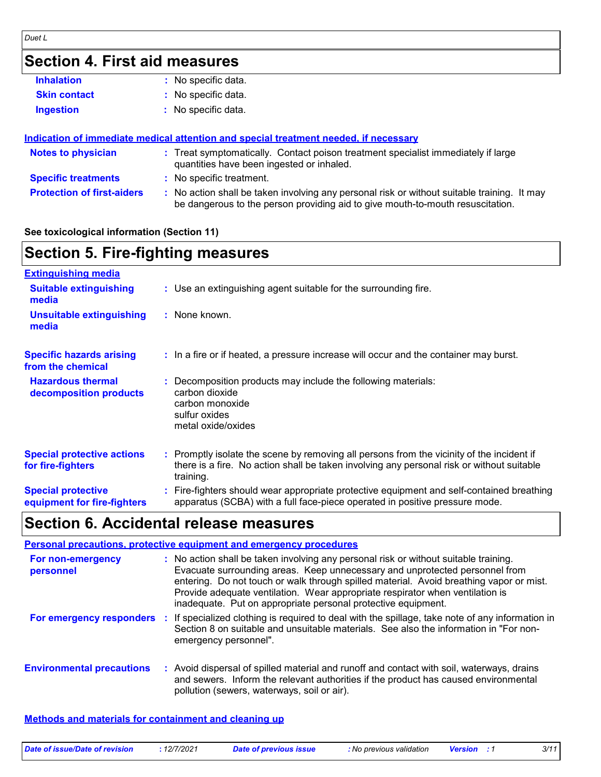# **Section 4. First aid measures**

| <b>Inhalation</b>   | : No specific data. |
|---------------------|---------------------|
| <b>Skin contact</b> | : No specific data. |
| Ingestion           | : No specific data. |

#### **Indication of immediate medical attention and special treatment needed, if necessary**

| <b>Notes to physician</b>         | : Treat symptomatically. Contact poison treatment specialist immediately if large<br>quantities have been ingested or inhaled.                                              |  |
|-----------------------------------|-----------------------------------------------------------------------------------------------------------------------------------------------------------------------------|--|
| <b>Specific treatments</b>        | : No specific treatment.                                                                                                                                                    |  |
| <b>Protection of first-aiders</b> | No action shall be taken involving any personal risk or without suitable training. It may<br>be dangerous to the person providing aid to give mouth-to-mouth resuscitation. |  |

#### **See toxicological information (Section 11)**

| <b>Section 5. Fire-fighting measures</b>                 |                                                                                                                                                                                                     |
|----------------------------------------------------------|-----------------------------------------------------------------------------------------------------------------------------------------------------------------------------------------------------|
| <b>Extinguishing media</b>                               |                                                                                                                                                                                                     |
| <b>Suitable extinguishing</b><br>media                   | : Use an extinguishing agent suitable for the surrounding fire.                                                                                                                                     |
| <b>Unsuitable extinguishing</b><br>media                 | : None known.                                                                                                                                                                                       |
| <b>Specific hazards arising</b><br>from the chemical     | : In a fire or if heated, a pressure increase will occur and the container may burst.                                                                                                               |
| <b>Hazardous thermal</b><br>decomposition products       | Decomposition products may include the following materials:<br>carbon dioxide<br>carbon monoxide<br>sulfur oxides<br>metal oxide/oxides                                                             |
| <b>Special protective actions</b><br>for fire-fighters   | : Promptly isolate the scene by removing all persons from the vicinity of the incident if<br>there is a fire. No action shall be taken involving any personal risk or without suitable<br>training. |
| <b>Special protective</b><br>equipment for fire-fighters | : Fire-fighters should wear appropriate protective equipment and self-contained breathing<br>apparatus (SCBA) with a full face-piece operated in positive pressure mode.                            |

# **Section 6. Accidental release measures**

|                                  | <b>Personal precautions, protective equipment and emergency procedures</b>                                                                                                                                                                                                                                                                                                                                       |
|----------------------------------|------------------------------------------------------------------------------------------------------------------------------------------------------------------------------------------------------------------------------------------------------------------------------------------------------------------------------------------------------------------------------------------------------------------|
| For non-emergency<br>personnel   | : No action shall be taken involving any personal risk or without suitable training.<br>Evacuate surrounding areas. Keep unnecessary and unprotected personnel from<br>entering. Do not touch or walk through spilled material. Avoid breathing vapor or mist.<br>Provide adequate ventilation. Wear appropriate respirator when ventilation is<br>inadequate. Put on appropriate personal protective equipment. |
| For emergency responders         | : If specialized clothing is required to deal with the spillage, take note of any information in<br>Section 8 on suitable and unsuitable materials. See also the information in "For non-<br>emergency personnel".                                                                                                                                                                                               |
| <b>Environmental precautions</b> | : Avoid dispersal of spilled material and runoff and contact with soil, waterways, drains<br>and sewers. Inform the relevant authorities if the product has caused environmental<br>pollution (sewers, waterways, soil or air).                                                                                                                                                                                  |

**Methods and materials for containment and cleaning up**

|  | Date of issue/Date of revision | 12/7/2021 | Date of previous issue | : No previous validation | <b>Version</b> | 3/11 |
|--|--------------------------------|-----------|------------------------|--------------------------|----------------|------|
|--|--------------------------------|-----------|------------------------|--------------------------|----------------|------|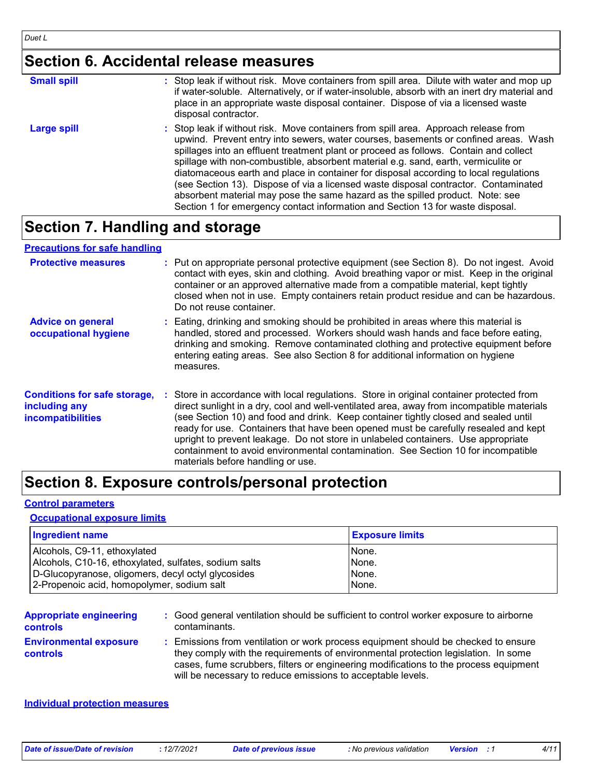# **Section 6. Accidental release measures**

| <b>Small spill</b> | : Stop leak if without risk. Move containers from spill area. Dilute with water and mop up<br>if water-soluble. Alternatively, or if water-insoluble, absorb with an inert dry material and<br>place in an appropriate waste disposal container. Dispose of via a licensed waste<br>disposal contractor.                                                                                                                                                                                                                                                                                                                                                                                                     |
|--------------------|--------------------------------------------------------------------------------------------------------------------------------------------------------------------------------------------------------------------------------------------------------------------------------------------------------------------------------------------------------------------------------------------------------------------------------------------------------------------------------------------------------------------------------------------------------------------------------------------------------------------------------------------------------------------------------------------------------------|
| Large spill        | : Stop leak if without risk. Move containers from spill area. Approach release from<br>upwind. Prevent entry into sewers, water courses, basements or confined areas. Wash<br>spillages into an effluent treatment plant or proceed as follows. Contain and collect<br>spillage with non-combustible, absorbent material e.g. sand, earth, vermiculite or<br>diatomaceous earth and place in container for disposal according to local regulations<br>(see Section 13). Dispose of via a licensed waste disposal contractor. Contaminated<br>absorbent material may pose the same hazard as the spilled product. Note: see<br>Section 1 for emergency contact information and Section 13 for waste disposal. |

# **Section 7. Handling and storage**

#### **Precautions for safe handling**

| <b>Protective measures</b>                                                       | : Put on appropriate personal protective equipment (see Section 8). Do not ingest. Avoid<br>contact with eyes, skin and clothing. Avoid breathing vapor or mist. Keep in the original<br>container or an approved alternative made from a compatible material, kept tightly<br>closed when not in use. Empty containers retain product residue and can be hazardous.<br>Do not reuse container.                                                                                                                                                                                    |
|----------------------------------------------------------------------------------|------------------------------------------------------------------------------------------------------------------------------------------------------------------------------------------------------------------------------------------------------------------------------------------------------------------------------------------------------------------------------------------------------------------------------------------------------------------------------------------------------------------------------------------------------------------------------------|
| <b>Advice on general</b><br>occupational hygiene                                 | : Eating, drinking and smoking should be prohibited in areas where this material is<br>handled, stored and processed. Workers should wash hands and face before eating,<br>drinking and smoking. Remove contaminated clothing and protective equipment before<br>entering eating areas. See also Section 8 for additional information on hygiene<br>measures.                                                                                                                                                                                                                      |
| <b>Conditions for safe storage,</b><br>including any<br><b>incompatibilities</b> | : Store in accordance with local regulations. Store in original container protected from<br>direct sunlight in a dry, cool and well-ventilated area, away from incompatible materials<br>(see Section 10) and food and drink. Keep container tightly closed and sealed until<br>ready for use. Containers that have been opened must be carefully resealed and kept<br>upright to prevent leakage. Do not store in unlabeled containers. Use appropriate<br>containment to avoid environmental contamination. See Section 10 for incompatible<br>materials before handling or use. |

# **Section 8. Exposure controls/personal protection**

#### **Control parameters**

#### **Occupational exposure limits**

| <b>Ingredient name</b>                                | <b>Exposure limits</b> |
|-------------------------------------------------------|------------------------|
| Alcohols, C9-11, ethoxylated                          | None.                  |
| Alcohols, C10-16, ethoxylated, sulfates, sodium salts | None.                  |
| D-Glucopyranose, oligomers, decyl octyl glycosides    | None.                  |
| 2-Propenoic acid, homopolymer, sodium salt            | None.                  |

| <b>Appropriate engineering</b>                   | : Good general ventilation should be sufficient to control worker exposure to airborne                                                                                                                                                                                                                                        |
|--------------------------------------------------|-------------------------------------------------------------------------------------------------------------------------------------------------------------------------------------------------------------------------------------------------------------------------------------------------------------------------------|
| <b>controls</b>                                  | contaminants.                                                                                                                                                                                                                                                                                                                 |
| <b>Environmental exposure</b><br><b>controls</b> | Emissions from ventilation or work process equipment should be checked to ensure<br>they comply with the requirements of environmental protection legislation. In some<br>cases, fume scrubbers, filters or engineering modifications to the process equipment<br>will be necessary to reduce emissions to acceptable levels. |

#### **Individual protection measures**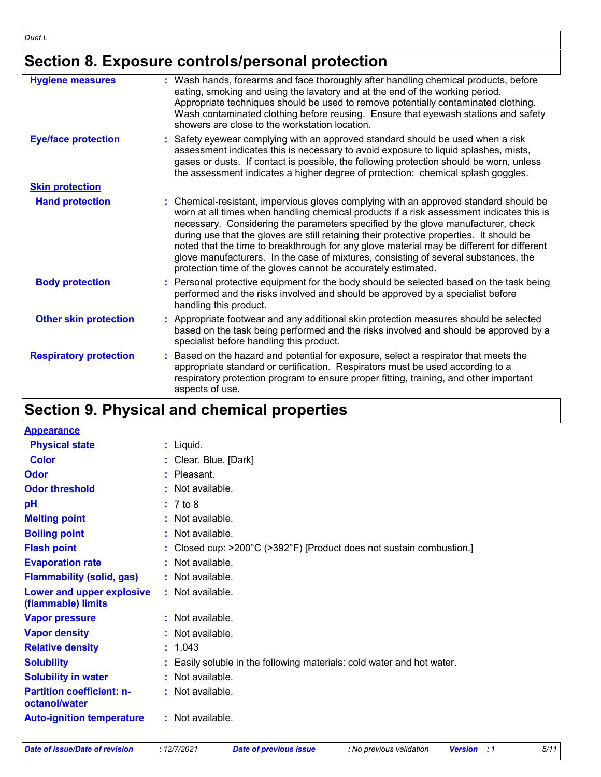# **Section 8. Exposure controls/personal protection**

| <b>Hygiene measures</b>       | : Wash hands, forearms and face thoroughly after handling chemical products, before<br>eating, smoking and using the lavatory and at the end of the working period.<br>Appropriate techniques should be used to remove potentially contaminated clothing.<br>Wash contaminated clothing before reusing. Ensure that eyewash stations and safety<br>showers are close to the workstation location.                                                                                                                                                                                                                      |
|-------------------------------|------------------------------------------------------------------------------------------------------------------------------------------------------------------------------------------------------------------------------------------------------------------------------------------------------------------------------------------------------------------------------------------------------------------------------------------------------------------------------------------------------------------------------------------------------------------------------------------------------------------------|
| <b>Eye/face protection</b>    | : Safety eyewear complying with an approved standard should be used when a risk<br>assessment indicates this is necessary to avoid exposure to liquid splashes, mists,<br>gases or dusts. If contact is possible, the following protection should be worn, unless<br>the assessment indicates a higher degree of protection: chemical splash goggles.                                                                                                                                                                                                                                                                  |
| <b>Skin protection</b>        |                                                                                                                                                                                                                                                                                                                                                                                                                                                                                                                                                                                                                        |
| <b>Hand protection</b>        | : Chemical-resistant, impervious gloves complying with an approved standard should be<br>worn at all times when handling chemical products if a risk assessment indicates this is<br>necessary. Considering the parameters specified by the glove manufacturer, check<br>during use that the gloves are still retaining their protective properties. It should be<br>noted that the time to breakthrough for any glove material may be different for different<br>glove manufacturers. In the case of mixtures, consisting of several substances, the<br>protection time of the gloves cannot be accurately estimated. |
| <b>Body protection</b>        | : Personal protective equipment for the body should be selected based on the task being<br>performed and the risks involved and should be approved by a specialist before<br>handling this product.                                                                                                                                                                                                                                                                                                                                                                                                                    |
| <b>Other skin protection</b>  | : Appropriate footwear and any additional skin protection measures should be selected<br>based on the task being performed and the risks involved and should be approved by a<br>specialist before handling this product.                                                                                                                                                                                                                                                                                                                                                                                              |
| <b>Respiratory protection</b> | : Based on the hazard and potential for exposure, select a respirator that meets the<br>appropriate standard or certification. Respirators must be used according to a<br>respiratory protection program to ensure proper fitting, training, and other important<br>aspects of use.                                                                                                                                                                                                                                                                                                                                    |

# **Section 9. Physical and chemical properties**

| <b>Appearance</b>                                 |                                                                                           |
|---------------------------------------------------|-------------------------------------------------------------------------------------------|
| <b>Physical state</b>                             | $:$ Liquid.                                                                               |
| Color                                             | : Clear. Blue. [Dark]                                                                     |
| Odor                                              | $:$ Pleasant.                                                                             |
| <b>Odor threshold</b>                             | : Not available.                                                                          |
| pH                                                | : 7 to 8                                                                                  |
| <b>Melting point</b>                              | : Not available.                                                                          |
| <b>Boiling point</b>                              | : Not available.                                                                          |
| <b>Flash point</b>                                | : Closed cup: $>200^{\circ}$ C ( $>392^{\circ}$ F) [Product does not sustain combustion.] |
| <b>Evaporation rate</b>                           | : Not available.                                                                          |
| <b>Flammability (solid, gas)</b>                  | : Not available.                                                                          |
| Lower and upper explosive<br>(flammable) limits   | : Not available.                                                                          |
| <b>Vapor pressure</b>                             | $:$ Not available.                                                                        |
| <b>Vapor density</b>                              | : Not available.                                                                          |
| <b>Relative density</b>                           | : 1.043                                                                                   |
| <b>Solubility</b>                                 | : Easily soluble in the following materials: cold water and hot water.                    |
| <b>Solubility in water</b>                        | : Not available.                                                                          |
| <b>Partition coefficient: n-</b><br>octanol/water | : Not available.                                                                          |
| <b>Auto-ignition temperature</b>                  | : Not available.                                                                          |

*Date of issue/Date of revision* **:** *12/7/2021 Date of previous issue : No previous validation Version : 1 5/11*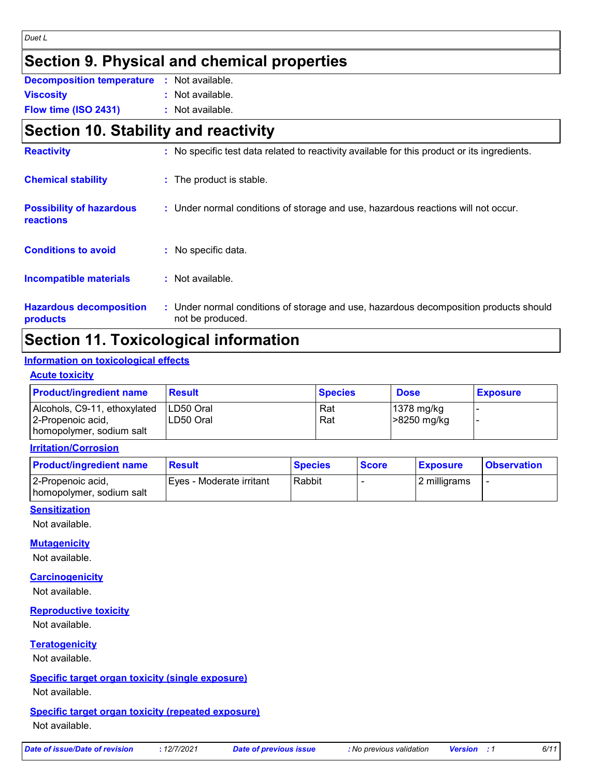#### *Duet L*

# **Section 9. Physical and chemical properties**

| <b>Decomposition temperature : Not available.</b> |                    |
|---------------------------------------------------|--------------------|
| <b>Viscosity</b>                                  | $:$ Not available. |
|                                                   |                    |

**Flow time (ISO 2431) :** Not available.

# **Section 10. Stability and reactivity**

| <b>Reactivity</b>                            | : No specific test data related to reactivity available for this product or its ingredients.              |
|----------------------------------------------|-----------------------------------------------------------------------------------------------------------|
| <b>Chemical stability</b>                    | : The product is stable.                                                                                  |
| <b>Possibility of hazardous</b><br>reactions | : Under normal conditions of storage and use, hazardous reactions will not occur.                         |
| <b>Conditions to avoid</b>                   | : No specific data.                                                                                       |
| Incompatible materials                       | $:$ Not available.                                                                                        |
| <b>Hazardous decomposition</b><br>products   | : Under normal conditions of storage and use, hazardous decomposition products should<br>not be produced. |

# **Section 11. Toxicological information**

#### **Information on toxicological effects**

#### **Acute toxicity**

| <b>Product/ingredient name</b> | <b>Result</b> | <b>Species</b> | <b>Dose</b>            | <b>Exposure</b> |
|--------------------------------|---------------|----------------|------------------------|-----------------|
| Alcohols, C9-11, ethoxylated   | ILD50 Oral    | Rat            | $ 1378 \text{ mg/kg} $ |                 |
| 2-Propenoic acid,              | ILD50 Oral    | Rat            | >8250 mg/kg            |                 |
| homopolymer, sodium salt       |               |                |                        |                 |

#### **Irritation/Corrosion**

| <b>Product/ingredient name</b>                | <b>Result</b>             | <b>Species</b> | <b>Score</b> | <b>Exposure</b> | <b>Observation</b> |
|-----------------------------------------------|---------------------------|----------------|--------------|-----------------|--------------------|
| 2-Propenoic acid,<br>homopolymer, sodium salt | IEves - Moderate irritant | Rabbit         |              | 12 milligrams   |                    |

#### **Sensitization**

Not available.

#### **Mutagenicity**

Not available.

#### **Carcinogenicity**

Not available.

#### **Reproductive toxicity**

Not available.

#### **Teratogenicity**

Not available.

#### **Specific target organ toxicity (single exposure)**

Not available.

#### **Specific target organ toxicity (repeated exposure)** Not available.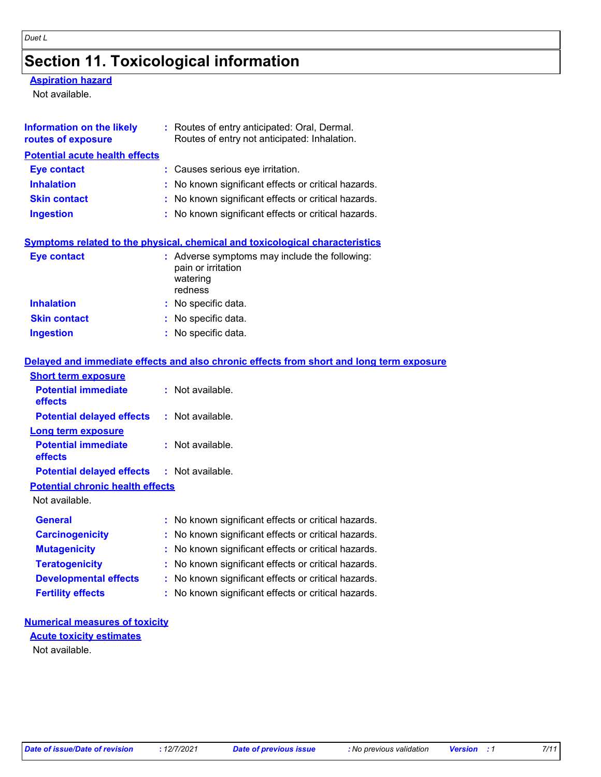# **Section 11. Toxicological information**

#### **Aspiration hazard**

Not available.

| Information on the likely<br>routes of exposure | : Routes of entry anticipated: Oral, Dermal.<br>Routes of entry not anticipated: Inhalation. |
|-------------------------------------------------|----------------------------------------------------------------------------------------------|
| <b>Potential acute health effects</b>           |                                                                                              |
| <b>Eye contact</b>                              | : Causes serious eye irritation.                                                             |
| <b>Inhalation</b>                               | : No known significant effects or critical hazards.                                          |
| <b>Skin contact</b>                             | : No known significant effects or critical hazards.                                          |
| <b>Ingestion</b>                                | : No known significant effects or critical hazards.                                          |
|                                                 | <b>Symptoms related to the physical, chemical and toxicological characteristics</b>          |
| <b>Eye contact</b>                              | : Adverse symptoms may include the following:<br>pain or irritation<br>watering<br>redness   |
| <b>Inhalation</b>                               | : No specific data.                                                                          |
| <b>Skin contact</b>                             | : No specific data.                                                                          |
| <b>Ingestion</b>                                | : No specific data.                                                                          |
|                                                 | Delayed and immediate effects and also chronic effects from short and long term exposure     |
| <b>Short term exposure</b>                      |                                                                                              |
| <b>Potential immediate</b><br>effects           | $:$ Not available.                                                                           |
| <b>Potential delayed effects</b>                | : Not available.                                                                             |
| <b>Long term exposure</b>                       |                                                                                              |
| <b>Potential immediate</b><br>effects           | $:$ Not available.                                                                           |
| <b>Potential delayed effects</b>                | $:$ Not available.                                                                           |
| <b>Potential chronic health effects</b>         |                                                                                              |

Not available.

| <b>General</b>               | : No known significant effects or critical hazards. |
|------------------------------|-----------------------------------------------------|
| <b>Carcinogenicity</b>       | : No known significant effects or critical hazards. |
| <b>Mutagenicity</b>          | : No known significant effects or critical hazards. |
| <b>Teratogenicity</b>        | : No known significant effects or critical hazards. |
| <b>Developmental effects</b> | : No known significant effects or critical hazards. |
| <b>Fertility effects</b>     | : No known significant effects or critical hazards. |

### **Numerical measures of toxicity Acute toxicity estimates**

Not available.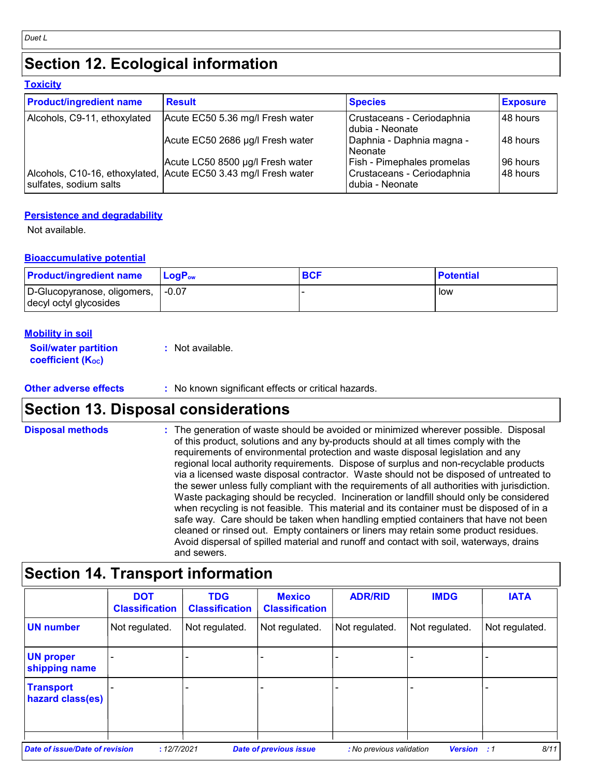# **Section 12. Ecological information**

| Toxicitv |
|----------|
|----------|

| <b>Product/ingredient name</b> | <b>Result</b>                                                   | <b>Species</b>                                  | <b>Exposure</b> |
|--------------------------------|-----------------------------------------------------------------|-------------------------------------------------|-----------------|
| Alcohols, C9-11, ethoxylated   | Acute EC50 5.36 mg/l Fresh water                                | Crustaceans - Ceriodaphnia<br>dubia - Neonate   | 48 hours        |
|                                | Acute EC50 2686 µg/l Fresh water                                | Daphnia - Daphnia magna -<br>l Neonate          | 48 hours        |
|                                | Acute LC50 8500 µg/l Fresh water                                | Fish - Pimephales promelas                      | 96 hours        |
| sulfates, sodium salts         | Alcohols, C10-16, ethoxylated, Acute EC50 3.43 mg/l Fresh water | Crustaceans - Ceriodaphnia<br>I dubia - Neonate | 48 hours        |

#### **Persistence and degradability**

Not available.

#### **Bioaccumulative potential**

| <b>Product/ingredient name</b>                        | <b>LoaP</b> <sub>ow</sub> | <b>BCF</b> | <b>Potential</b> |
|-------------------------------------------------------|---------------------------|------------|------------------|
| D-Glucopyranose, oligomers,<br>decyl octyl glycosides | $-0.07$                   |            | low              |

#### **Mobility in soil**

| <b>Soil/water partition</b> | : Not available. |
|-----------------------------|------------------|
| <b>coefficient (Koc)</b>    |                  |

#### **Other adverse effects** : No known significant effects or critical hazards.

# **Section 13. Disposal considerations**

**Disposal methods :**

The generation of waste should be avoided or minimized wherever possible. Disposal of this product, solutions and any by-products should at all times comply with the requirements of environmental protection and waste disposal legislation and any regional local authority requirements. Dispose of surplus and non-recyclable products via a licensed waste disposal contractor. Waste should not be disposed of untreated to the sewer unless fully compliant with the requirements of all authorities with jurisdiction. Waste packaging should be recycled. Incineration or landfill should only be considered when recycling is not feasible. This material and its container must be disposed of in a safe way. Care should be taken when handling emptied containers that have not been cleaned or rinsed out. Empty containers or liners may retain some product residues. Avoid dispersal of spilled material and runoff and contact with soil, waterways, drains and sewers.

### **Section 14. Transport information**

|                                      | <b>DOT</b><br><b>Classification</b> | <b>TDG</b><br><b>Classification</b> | <b>Mexico</b><br><b>Classification</b> | <b>ADR/RID</b>           | <b>IMDG</b>    | <b>IATA</b>    |
|--------------------------------------|-------------------------------------|-------------------------------------|----------------------------------------|--------------------------|----------------|----------------|
| <b>UN number</b>                     | Not regulated.                      | Not regulated.                      | Not regulated.                         | Not regulated.           | Not regulated. | Not regulated. |
| <b>UN proper</b><br>shipping name    |                                     |                                     |                                        |                          |                |                |
| <b>Transport</b><br>hazard class(es) |                                     |                                     |                                        |                          |                |                |
| Date of issue/Date of revision       | :12/7/2021                          |                                     | <b>Date of previous issue</b>          | : No previous validation | <b>Version</b> | 8/11<br>:1     |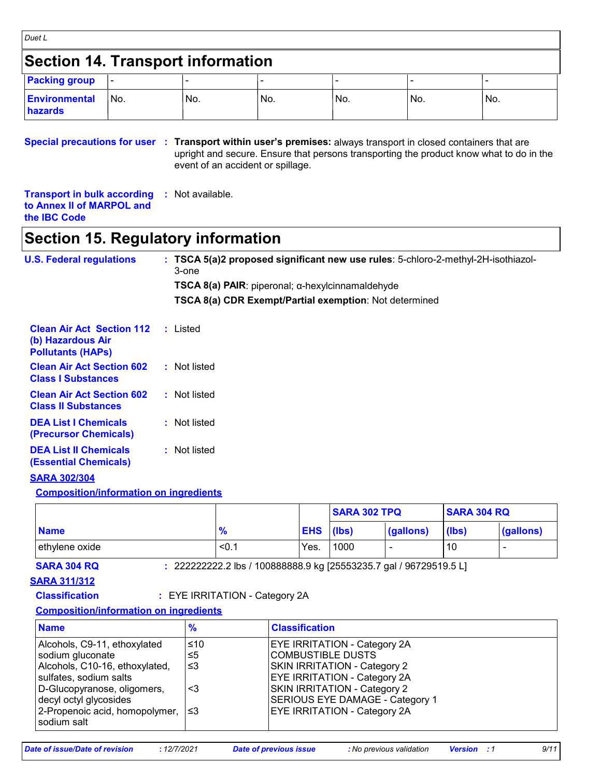| <b>Section 14. Transport information</b>                                                                        |     |                  |                                   |                                                                                                                      |     |                                                                                         |
|-----------------------------------------------------------------------------------------------------------------|-----|------------------|-----------------------------------|----------------------------------------------------------------------------------------------------------------------|-----|-----------------------------------------------------------------------------------------|
| <b>Packing group</b>                                                                                            |     |                  |                                   |                                                                                                                      |     |                                                                                         |
| <b>Environmental</b><br><b>hazards</b>                                                                          | No. | No.              | No.                               | No.                                                                                                                  | No. | No.                                                                                     |
| Special precautions for user : Transport within user's premises: always transport in closed containers that are |     |                  | event of an accident or spillage. |                                                                                                                      |     | upright and secure. Ensure that persons transporting the product know what to do in the |
| <b>Transport in bulk according</b><br>to Annex II of MARPOL and<br>the <b>IBC</b> Code                          |     | : Not available. |                                   |                                                                                                                      |     |                                                                                         |
| <b>Section 15. Regulatory information</b>                                                                       |     |                  |                                   |                                                                                                                      |     |                                                                                         |
| <b>U.S. Federal regulations</b>                                                                                 |     | 3-one            |                                   | TSCA $8(a)$ PAIR: piperonal; $\alpha$ -hexylcinnamaldehyde<br>TSCA 8(a) CDR Exempt/Partial exemption: Not determined |     | : TSCA 5(a)2 proposed significant new use rules: 5-chloro-2-methyl-2H-isothiazol-       |
| <b>Clean Air Act Section 112</b><br>(b) Hazardous Air<br><b>Pollutants (HAPs)</b>                               |     | : Listed         |                                   |                                                                                                                      |     |                                                                                         |
| <b>Clean Air Act Section 602</b><br><b>Class I Substances</b>                                                   |     | : Not listed     |                                   |                                                                                                                      |     |                                                                                         |
| <b>Clean Air Act Section 602</b><br><b>Class II Substances</b>                                                  |     | : Not listed     |                                   |                                                                                                                      |     |                                                                                         |
| <b>DEA List I Chemicals</b><br>(Precursor Chemicals)                                                            |     | : Not listed     |                                   |                                                                                                                      |     |                                                                                         |
| <b>DEA List II Chemicals</b><br><b>(Essential Chemicals)</b>                                                    |     | : Not listed     |                                   |                                                                                                                      |     |                                                                                         |
| <b>SARA 302/304</b>                                                                                             |     |                  |                                   |                                                                                                                      |     |                                                                                         |
| <b>Composition/information on ingredients</b>                                                                   |     |                  |                                   | <b>SARA 302 TPQ</b>                                                                                                  |     | <b>SARA 304 RQ</b>                                                                      |

|                |               |            | <b>SARA 302 TPQ</b> |           | <b>SARA 304 RQ</b> |                          |
|----------------|---------------|------------|---------------------|-----------|--------------------|--------------------------|
| <b>Name</b>    | $\frac{9}{6}$ | <b>EHS</b> | (lbs)               | (gallons) | $(\mathsf{libs})$  | (gallons)                |
| ethylene oxide | $\leq 0$ .    | Yes.       | 1000                | -         | 10                 | $\overline{\phantom{0}}$ |

**SARA 304 RQ :** 222222222.2 lbs / 100888888.9 kg [25553235.7 gal / 96729519.5 L]

**SARA 311/312**

**Classification :** EYE IRRITATION - Category 2A

#### **Composition/information on ingredients**

| <b>Name</b>                                                                                                                                                                                                                | $\frac{9}{6}$           | <b>Classification</b>                                                                                                                                                                                                                     |
|----------------------------------------------------------------------------------------------------------------------------------------------------------------------------------------------------------------------------|-------------------------|-------------------------------------------------------------------------------------------------------------------------------------------------------------------------------------------------------------------------------------------|
| Alcohols, C9-11, ethoxylated<br>sodium gluconate<br>Alcohols, C10-16, ethoxylated,<br>sulfates, sodium salts<br>D-Glucopyranose, oligomers,<br>decyl octyl glycosides<br>2-Propenoic acid, homopolymer,  ≤3<br>sodium salt | ≤10<br>≤5<br>ו≥ ≥<br><3 | <b>EYE IRRITATION - Category 2A</b><br>COMBUSTIBLE DUSTS<br>SKIN IRRITATION - Category 2<br><b>EYE IRRITATION - Category 2A</b><br>SKIN IRRITATION - Category 2<br>SERIOUS EYE DAMAGE - Category 1<br><b>EYE IRRITATION - Category 2A</b> |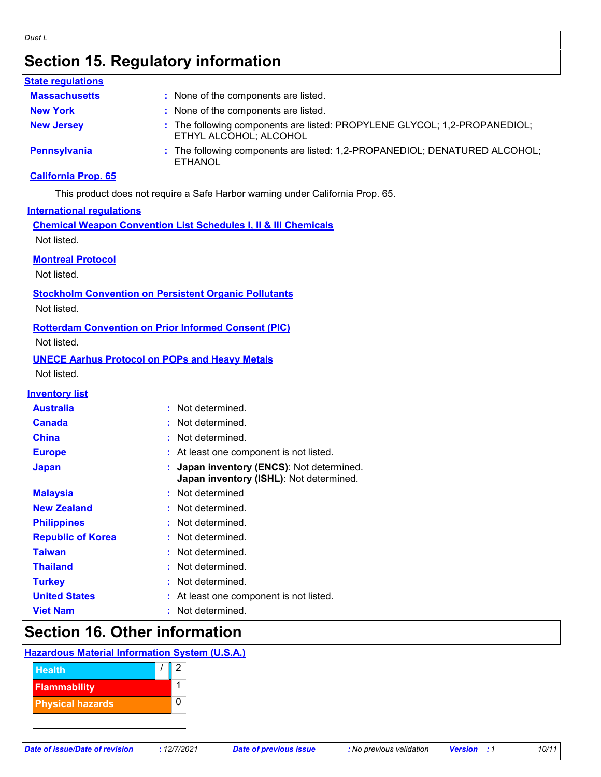#### *Duet L*

# **Section 15. Regulatory information**

#### **State regulations**

| <b>Massachusetts</b> | : None of the components are listed.                                                                |
|----------------------|-----------------------------------------------------------------------------------------------------|
| <b>New York</b>      | : None of the components are listed.                                                                |
| <b>New Jersey</b>    | : The following components are listed: PROPYLENE GLYCOL; 1,2-PROPANEDIOL;<br>ETHYL ALCOHOL; ALCOHOL |
| <b>Pennsylvania</b>  | : The following components are listed: 1,2-PROPANEDIOL; DENATURED ALCOHOL;<br><b>ETHANOL</b>        |

#### **California Prop. 65**

This product does not require a Safe Harbor warning under California Prop. 65.

#### **International regulations**

**Chemical Weapon Convention List Schedules I, II & III Chemicals**

Not listed.

#### **Montreal Protocol**

Not listed.

#### **Stockholm Convention on Persistent Organic Pollutants**

Not listed.

#### **Rotterdam Convention on Prior Informed Consent (PIC)**

Not listed.

### **UNECE Aarhus Protocol on POPs and Heavy Metals**

Not listed.

#### **Inventory list**

| <b>Australia</b> | : Not determined. |
|------------------|-------------------|

| Canada                   | : Not determined.                                                                    |
|--------------------------|--------------------------------------------------------------------------------------|
| China                    | : Not determined.                                                                    |
| <b>Europe</b>            | : At least one component is not listed.                                              |
| <b>Japan</b>             | : Japan inventory (ENCS): Not determined.<br>Japan inventory (ISHL): Not determined. |
| <b>Malaysia</b>          | : Not determined                                                                     |
| <b>New Zealand</b>       | : Not determined.                                                                    |
| <b>Philippines</b>       | : Not determined.                                                                    |
| <b>Republic of Korea</b> | : Not determined.                                                                    |
| <b>Taiwan</b>            | : Not determined.                                                                    |
| <b>Thailand</b>          | : Not determined.                                                                    |
| <b>Turkey</b>            | : Not determined.                                                                    |
| <b>United States</b>     | : At least one component is not listed.                                              |
| <b>Viet Nam</b>          | : Not determined.                                                                    |

### **Section 16. Other information**

#### **Hazardous Material Information System (U.S.A.)**